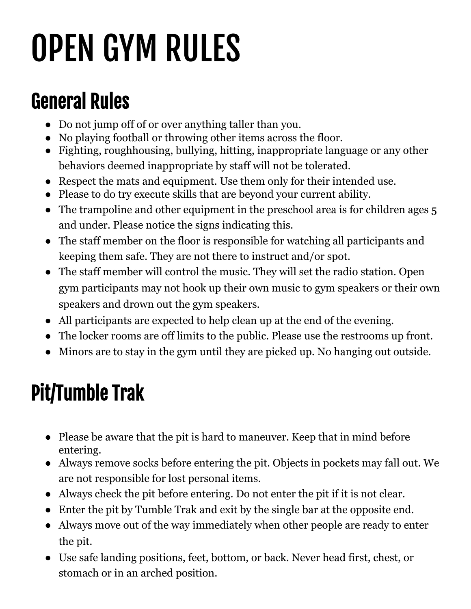## OPEN GYM RULES

## General Rules

- Do not jump off of or over anything taller than you.
- No playing football or throwing other items across the floor.
- Fighting, roughhousing, bullying, hitting, inappropriate language or any other behaviors deemed inappropriate by staff will not be tolerated.
- Respect the mats and equipment. Use them only for their intended use.
- Please to do try execute skills that are beyond your current ability.
- The trampoline and other equipment in the preschool area is for children ages 5 and under. Please notice the signs indicating this.
- The staff member on the floor is responsible for watching all participants and keeping them safe. They are not there to instruct and/or spot.
- The staff member will control the music. They will set the radio station. Open gym participants may not hook up their own music to gym speakers or their own speakers and drown out the gym speakers.
- All participants are expected to help clean up at the end of the evening.
- The locker rooms are off limits to the public. Please use the restrooms up front.
- Minors are to stay in the gym until they are picked up. No hanging out outside.

## Pit/Tumble Trak

- Please be aware that the pit is hard to maneuver. Keep that in mind before entering.
- Always remove socks before entering the pit. Objects in pockets may fall out. We are not responsible for lost personal items.
- Always check the pit before entering. Do not enter the pit if it is not clear.
- Enter the pit by Tumble Trak and exit by the single bar at the opposite end.
- Always move out of the way immediately when other people are ready to enter the pit.
- Use safe landing positions, feet, bottom, or back. Never head first, chest, or stomach or in an arched position.